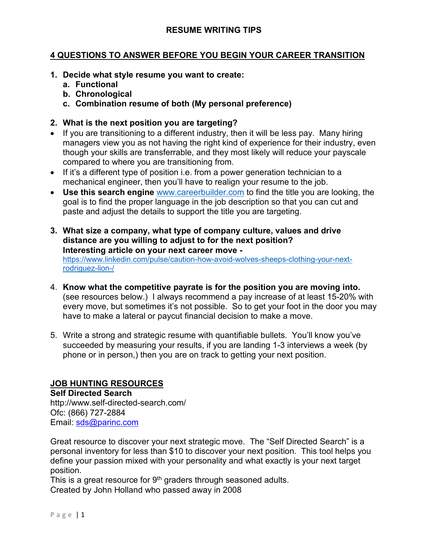## **4 QUESTIONS TO ANSWER BEFORE YOU BEGIN YOUR CAREER TRANSITION**

- **1. Decide what style resume you want to create:**
	- **a. Functional**
	- **b. Chronological**
	- **c. Combination resume of both (My personal preference)**

## **2. What is the next position you are targeting?**

- If you are transitioning to a different industry, then it will be less pay. Many hiring managers view you as not having the right kind of experience for their industry, even though your skills are transferrable, and they most likely will reduce your payscale compared to where you are transitioning from.
- If it's a different type of position i.e. from a power generation technician to a mechanical engineer, then you'll have to realign your resume to the job.
- **Use this search engine** [www.careerbuilder.com](http://www.careerbuilder.com/) to find the title you are looking, the goal is to find the proper language in the job description so that you can cut and paste and adjust the details to support the title you are targeting.
- **3. What size a company, what type of company culture, values and drive distance are you willing to adjust to for the next position? Interesting article on your next career move**  [https://www.linkedin.com/pulse/caution-how-avoid-wolves-sheeps-clothing-your-next](https://www.linkedin.com/pulse/caution-how-avoid-wolves-sheeps-clothing-your-next-rodriguez-lion-/)[rodriguez-lion-/](https://www.linkedin.com/pulse/caution-how-avoid-wolves-sheeps-clothing-your-next-rodriguez-lion-/)
- 4. **Know what the competitive payrate is for the position you are moving into.** (see resources below.) I always recommend a pay increase of at least 15-20% with every move, but sometimes it's not possible. So to get your foot in the door you may have to make a lateral or paycut financial decision to make a move.
- 5. Write a strong and strategic resume with quantifiable bullets. You'll know you've succeeded by measuring your results, if you are landing 1-3 interviews a week (by phone or in person,) then you are on track to getting your next position.

# **JOB HUNTING RESOURCES**

**Self Directed Search** <http://www.self-directed-search.com/> Ofc: (866) 727-2884 Email: [sds@parinc.com](mailto:sds@parinc.com)

Great resource to discover your next strategic move. The "Self Directed Search" is a personal inventory for less than \$10 to discover your next position. This tool helps you define your passion mixed with your personality and what exactly is your next target position.

This is a great resource for  $9<sup>th</sup>$  graders through seasoned adults. Created by John Holland who passed away in 2008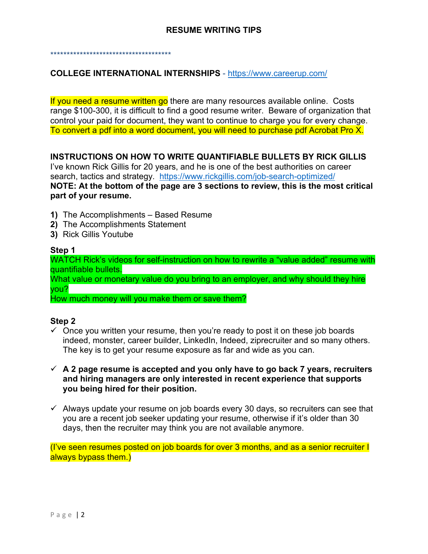\*\*\*\*\*\*\*\*\*\*\*\*\*\*\*\*\*\*\*\*\*\*\*\*\*\*\*\*\*\*\*\*\*\*\*\*\*

## **COLLEGE INTERNATIONAL INTERNSHIPS** - <https://www.careerup.com/>

If you need a resume written go there are many resources available online. Costs range \$100-300, it is difficult to find a good resume writer. Beware of organization that control your paid for document, they want to continue to charge you for every change. To convert a pdf into a word document, you will need to purchase pdf Acrobat Pro X.

## **INSTRUCTIONS ON HOW TO WRITE QUANTIFIABLE BULLETS BY RICK GILLIS**

I've known Rick Gillis for 20 years, and he is one of the best authorities on career search, tactics and strategy. <https://www.rickgillis.com/job-search-optimized/> **NOTE: At the bottom of the page are 3 sections to review, this is the most critical part of your resume.**

- **1)** The Accomplishments Based Resume
- **2)** The Accomplishments Statement
- **3)** Rick Gillis Youtube

#### **Step 1**

WATCH Rick's videos for self-instruction on how to rewrite a "value added" resume with quantifiable bullets.

What value or monetary value do you bring to an employer, and why should they hire you?

How much money will you make them or save them?

### **Step 2**

- $\checkmark$  Once you written your resume, then you're ready to post it on these job boards indeed, monster, career builder, LinkedIn, Indeed, ziprecruiter and so many others. The key is to get your resume exposure as far and wide as you can.
- **A 2 page resume is accepted and you only have to go back 7 years, recruiters and hiring managers are only interested in recent experience that supports you being hired for their position.**
- $\checkmark$  Always update your resume on job boards every 30 days, so recruiters can see that you are a recent job seeker updating your resume, otherwise if it's older than 30 days, then the recruiter may think you are not available anymore.

(I've seen resumes posted on job boards for over 3 months, and as a senior recruiter I always bypass them.)